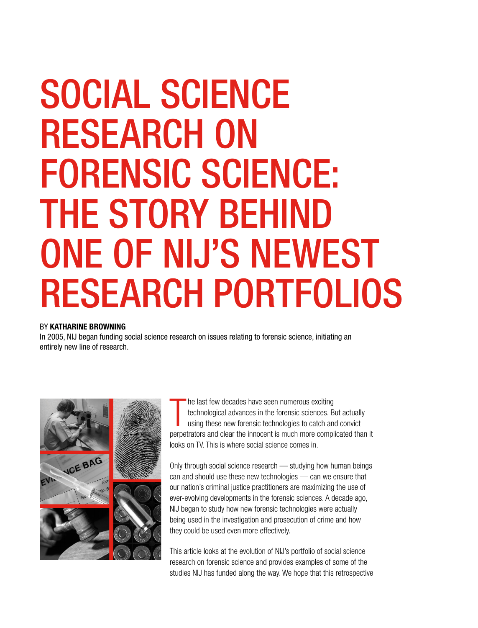# SOCIAL SCIENCE RESEARCH ON FORENSIC SCIENCE: THE STORY BEHIND ONE OF NIJ'S NEWEST RESEARCH PORTFOLIOS

# BY KATHARINE BROWNING

In 2005, NIJ began funding social science research on issues relating to forensic science, initiating an entirely new line of research.



T he last few decades have seen numerous exciting technological advances in the forensic sciences. But actually using these new forensic technologies to catch and convict perpetrators and clear the innocent is much more complicated than it looks on TV. This is where social science comes in.

Only through social science research — studying how human beings can and should use these new technologies — can we ensure that our nation's criminal justice practitioners are maximizing the use of ever-evolving developments in the forensic sciences. A decade ago, NIJ began to study how new forensic technologies were actually being used in the investigation and prosecution of crime and how they could be used even more effectively.

This article looks at the evolution of NIJ's portfolio of social science research on forensic science and provides examples of some of the studies NIJ has funded along the way. We hope that this retrospective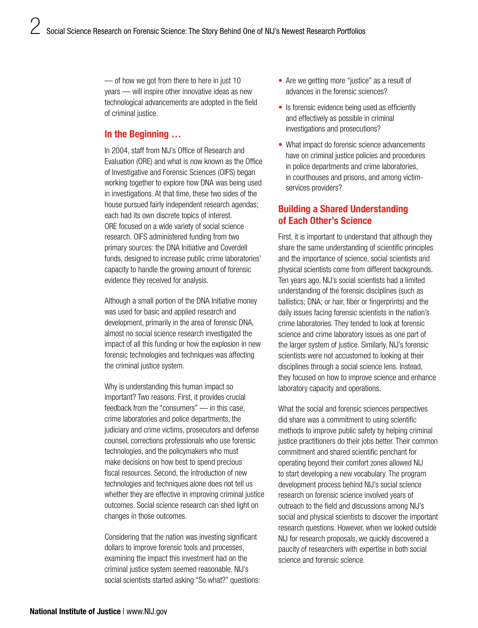— of how we got from there to here in just 10 years — will inspire other innovative ideas as new technological advancements are adopted in the field of criminal justice.

# In the Beginning …

In 2004, staff from NIJ's Office of Research and Evaluation (ORE) and what is now known as the Office of Investigative and Forensic Sciences (OIFS) began working together to explore how DNA was being used in investigations. At that time, these two sides of the house pursued fairly independent research agendas; each had its own discrete topics of interest. ORE focused on a wide variety of social science research. OIFS administered funding from two primary sources: the DNA Initiative and Coverdell funds, designed to increase public crime laboratories' capacity to handle the growing amount of forensic evidence they received for analysis.

Although a small portion of the DNA Initiative money was used for basic and applied research and development, primarily in the area of forensic DNA, almost no social science research investigated the impact of all this funding or how the explosion in new forensic technologies and techniques was affecting the criminal justice system.

Why is understanding this human impact so important? Two reasons. First, it provides crucial feedback from the "consumers" — in this case, crime laboratories and police departments, the judiciary and crime victims, prosecutors and defense counsel, corrections professionals who use forensic technologies, and the policymakers who must make decisions on how best to spend precious fiscal resources. Second, the introduction of new technologies and techniques alone does not tell us whether they are effective in improving criminal justice outcomes. Social science research can shed light on changes in those outcomes.

Considering that the nation was investing significant dollars to improve forensic tools and processes, examining the impact this investment had on the criminal justice system seemed reasonable. NIJ's social scientists started asking "So what?" questions:

- Are we getting more "justice" as a result of advances in the forensic sciences?
- Is forensic evidence being used as efficiently and effectively as possible in criminal investigations and prosecutions?
- What impact do forensic science advancements have on criminal justice policies and procedures in police departments and crime laboratories, in courthouses and prisons, and among victimservices providers?

# Building a Shared Understanding of Each Other's Science

First, it is important to understand that although they share the same understanding of scientific principles and the importance of science, social scientists and physical scientists come from different backgrounds. Ten years ago, NIJ's social scientists had a limited understanding of the forensic disciplines (such as ballistics; DNA; or hair, fiber or fingerprints) and the daily issues facing forensic scientists in the nation's crime laboratories. They tended to look at forensic science and crime laboratory issues as one part of the larger system of justice. Similarly, NIJ's forensic scientists were not accustomed to looking at their disciplines through a social science lens. Instead, they focused on how to improve science and enhance laboratory capacity and operations.

What the social and forensic sciences perspectives did share was a commitment to using scientific methods to improve public safety by helping criminal justice practitioners do their jobs better. Their common commitment and shared scientific penchant for operating beyond their comfort zones allowed NIJ to start developing a new vocabulary. The program development process behind NIJ's social science research on forensic science involved years of outreach to the field and discussions among NIJ's social and physical scientists to discover the important research questions. However, when we looked outside NIJ for research proposals, we quickly discovered a paucity of researchers with expertise in both social science and forensic science.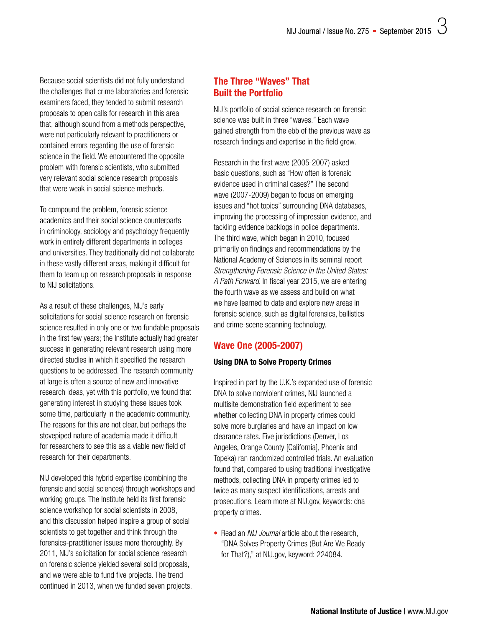Because social scientists did not fully understand the challenges that crime laboratories and forensic examiners faced, they tended to submit research proposals to open calls for research in this area that, although sound from a methods perspective, were not particularly relevant to practitioners or contained errors regarding the use of forensic science in the field. We encountered the opposite problem with forensic scientists, who submitted very relevant social science research proposals that were weak in social science methods.

To compound the problem, forensic science academics and their social science counterparts in criminology, sociology and psychology frequently work in entirely different departments in colleges and universities. They traditionally did not collaborate in these vastly different areas, making it difficult for them to team up on research proposals in response to NIJ solicitations.

As a result of these challenges, NIJ's early solicitations for social science research on forensic science resulted in only one or two fundable proposals in the first few years; the Institute actually had greater success in generating relevant research using more directed studies in which it specified the research questions to be addressed. The research community at large is often a source of new and innovative research ideas, yet with this portfolio, we found that generating interest in studying these issues took some time, particularly in the academic community. The reasons for this are not clear, but perhaps the stovepiped nature of academia made it difficult for researchers to see this as a viable new field of research for their departments.

NIJ developed this hybrid expertise (combining the forensic and social sciences) through workshops and working groups. The Institute held its first forensic science workshop for social scientists in 2008, and this discussion helped inspire a group of social scientists to get together and think through the forensics-practitioner issues more thoroughly. By 2011, NIJ's solicitation for social science research on forensic science yielded several solid proposals, and we were able to fund five projects. The trend continued in 2013, when we funded seven projects.

# The Three "Waves" That Built the Portfolio

NIJ's portfolio of social science research on forensic science was built in three "waves." Each wave gained strength from the ebb of the previous wave as research findings and expertise in the field grew.

Research in the first wave (2005-2007) asked basic questions, such as "How often is forensic evidence used in criminal cases?" The second wave (2007-2009) began to focus on emerging issues and "hot topics" surrounding DNA databases, improving the processing of impression evidence, and tackling evidence backlogs in police departments. The third wave, which began in 2010, focused primarily on findings and recommendations by the National Academy of Sciences in its seminal report *Strengthening Forensic Science in the United States: A Path Forward*. In fiscal year 2015, we are entering the fourth wave as we assess and build on what we have learned to date and explore new areas in forensic science, such as digital forensics, ballistics and crime-scene scanning technology.

# Wave One (2005-2007)

# Using DNA to Solve Property Crimes

Inspired in part by the U.K.'s expanded use of forensic DNA to solve nonviolent crimes, NIJ launched a multisite demonstration field experiment to see whether collecting DNA in property crimes could solve more burglaries and have an impact on low clearance rates. Five jurisdictions (Denver, Los Angeles, Orange County [California], Phoenix and Topeka) ran randomized controlled trials. An evaluation found that, compared to using traditional investigative methods, collecting DNA in property crimes led to twice as many suspect identifications, arrests and prosecutions. Learn more at [NIJ.gov, keywords: dna](http://nij.gov/topics/forensics/evidence/dna/property-crime/Pages/welcome.aspx)  [property crimes.](http://nij.gov/topics/forensics/evidence/dna/property-crime/Pages/welcome.aspx)

• Read an *NIJ Journal* article about the research, "DNA Solves Property Crimes (But Are We Ready for That?)," at [NIJ.gov, keyword: 224084.](http://nij.gov/journals/261/pages/dna-solves-property-crimes.aspx)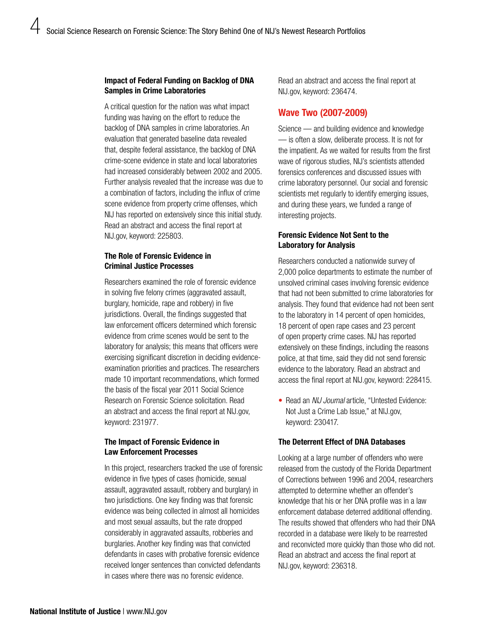## Impact of Federal Funding on Backlog of DNA Samples in Crime Laboratories

A critical question for the nation was what impact funding was having on the effort to reduce the backlog of DNA samples in crime laboratories. An evaluation that generated baseline data revealed that, despite federal assistance, the backlog of DNA crime-scene evidence in state and local laboratories had increased considerably between 2002 and 2005. Further analysis revealed that the increase was due to a combination of factors, including the influx of crime scene evidence from property crime offenses, which NIJ has reported on extensively since this initial study. Read an abstract and access the final report at [NIJ.gov, keyword: 225803.](http://nij.gov/publications/pages/publication-detail.aspx?ncjnumber=225803)

# The Role of Forensic Evidence in Criminal Justice Processes

Researchers examined the role of forensic evidence in solving five felony crimes (aggravated assault, burglary, homicide, rape and robbery) in five jurisdictions. Overall, the findings suggested that law enforcement officers determined which forensic evidence from crime scenes would be sent to the laboratory for analysis; this means that officers were exercising significant discretion in deciding evidenceexamination priorities and practices. The researchers made 10 important recommendations, which formed the basis of the fiscal year 2011 Social Science Research on Forensic Science solicitation. Read an abstract and access the final report at [NIJ.gov,](http://nij.gov/publications/Pages/publication-detail.aspx?ncjnumber=231977)  [keyword: 231977.](http://nij.gov/publications/Pages/publication-detail.aspx?ncjnumber=231977)

# The Impact of Forensic Evidence in Law Enforcement Processes

In this project, researchers tracked the use of forensic evidence in five types of cases (homicide, sexual assault, aggravated assault, robbery and burglary) in two jurisdictions. One key finding was that forensic evidence was being collected in almost all homicides and most sexual assaults, but the rate dropped considerably in aggravated assaults, robberies and burglaries. Another key finding was that convicted defendants in cases with probative forensic evidence received longer sentences than convicted defendants in cases where there was no forensic evidence.

Read an abstract and access the final report at [NIJ.gov, keyword: 236474](http://nij.gov/publications/Pages/publication-detail.aspx?ncjnumber=236474).

# Wave Two (2007-2009)

Science — and building evidence and knowledge — is often a slow, deliberate process. It is not for the impatient. As we waited for results from the first wave of rigorous studies, NIJ's scientists attended forensics conferences and discussed issues with crime laboratory personnel. Our social and forensic scientists met regularly to identify emerging issues, and during these years, we funded a range of interesting projects.

# Forensic Evidence Not Sent to the Laboratory for Analysis

Researchers conducted a nationwide survey of 2,000 police departments to estimate the number of unsolved criminal cases involving forensic evidence that had not been submitted to crime laboratories for analysis. They found that evidence had not been sent to the laboratory in 14 percent of open homicides, 18 percent of open rape cases and 23 percent of open property crime cases. NIJ has reported extensively on these findings, including the reasons police, at that time, said they did not send forensic evidence to the laboratory. Read an abstract and access the final report at [NIJ.gov, keyword: 228415](http://nij.gov/publications/pages/publication-detail.aspx?ncjnumber=228415).

• Read an *NIJ Journal* article, "Untested Evidence: Not Just a Crime Lab Issue," at [NIJ.gov,](http://www.nij.gov/journals/266/Pages/untested.aspx)  [keyword: 230417.](http://www.nij.gov/journals/266/Pages/untested.aspx)

# The Deterrent Effect of DNA Databases

Looking at a large number of offenders who were released from the custody of the Florida Department of Corrections between 1996 and 2004, researchers attempted to determine whether an offender's knowledge that his or her DNA profile was in a law enforcement database deterred additional offending. The results showed that offenders who had their DNA recorded in a database were likely to be rearrested and reconvicted more quickly than those who did not. Read an abstract and access the final report at [NIJ.gov, keyword: 236318](http://nij.gov/publications/Pages/publication-detail.aspx?ncjnumber=236318).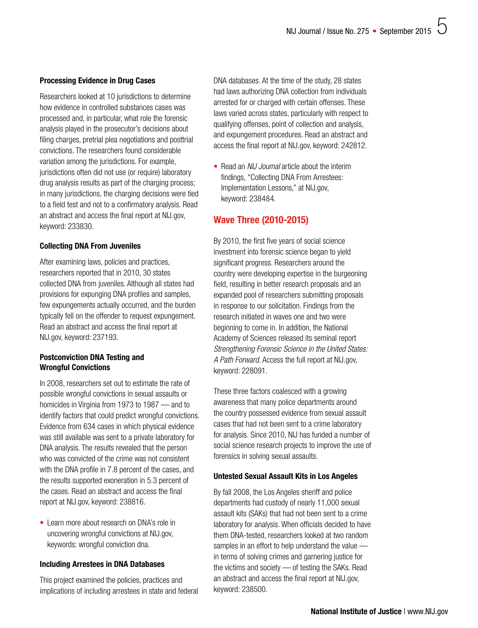## Processing Evidence in Drug Cases

Researchers looked at 10 jurisdictions to determine how evidence in controlled substances cases was processed and, in particular, what role the forensic analysis played in the prosecutor's decisions about filing charges, pretrial plea negotiations and posttrial convictions. The researchers found considerable variation among the jurisdictions. For example, jurisdictions often did not use (or require) laboratory drug analysis results as part of the charging process; in many jurisdictions, the charging decisions were tied to a field test and not to a confirmatory analysis. Read an abstract and access the final report at [NIJ.gov,](http://nij.gov/publications/Pages/publication-detail.aspx?ncjnumber=233830)  [keyword: 233830.](http://nij.gov/publications/Pages/publication-detail.aspx?ncjnumber=233830)

#### Collecting DNA From Juveniles

After examining laws, policies and practices, researchers reported that in 2010, 30 states collected DNA from juveniles. Although all states had provisions for expunging DNA profiles and samples, few expungements actually occurred, and the burden typically fell on the offender to request expungement. Read an abstract and access the final report at [NIJ.gov, keyword: 237193.](http://nij.gov/publications/Pages/publication-detail.aspx?ncjnumber=237193)

# Postconviction DNA Testing and Wrongful Convictions

In 2008, researchers set out to estimate the rate of possible wrongful convictions in sexual assaults or homicides in Virginia from 1973 to 1987 — and to identify factors that could predict wrongful convictions. Evidence from 634 cases in which physical evidence was still available was sent to a private laboratory for DNA analysis. The results revealed that the person who was convicted of the crime was not consistent with the DNA profile in 7.8 percent of the cases, and the results supported exoneration in 5.3 percent of the cases. Read an abstract and access the final report at [NIJ.gov, keyword: 238816](http://nij.gov/publications/Pages/publication-detail.aspx?ncjnumber=238816).

• Learn more about research on DNA's role in uncovering wrongful convictions at [NIJ.gov,](http://nij.gov/topics/justice-system/wrongful-convictions/pages/role-of-dna.aspx)  [keywords: wrongful conviction dna](http://nij.gov/topics/justice-system/wrongful-convictions/pages/role-of-dna.aspx).

#### Including Arrestees in DNA Databases

This project examined the policies, practices and implications of including arrestees in state and federal DNA databases. At the time of the study, 28 states had laws authorizing DNA collection from individuals arrested for or charged with certain offenses. These laws varied across states, particularly with respect to qualifying offenses, point of collection and analysis, and expungement procedures. Read an abstract and access the final report at [NIJ.gov, keyword: 242812](http://nij.gov/publications/Pages/publication-detail.aspx?ncjnumber=242812).

• Read an *NIJ Journal* article about the interim findings, "Collecting DNA From Arrestees: Implementation Lessons," at [NIJ.gov,](http://www.nij.gov/journals/270/pages/arrestee-dna.aspx)  [keyword: 238484.](http://www.nij.gov/journals/270/pages/arrestee-dna.aspx)

# Wave Three (2010-2015)

By 2010, the first five years of social science investment into forensic science began to yield significant progress. Researchers around the country were developing expertise in the burgeoning field, resulting in better research proposals and an expanded pool of researchers submitting proposals in response to our solicitation. Findings from the research initiated in waves one and two were beginning to come in. In addition, the National Academy of Sciences released its seminal report *Strengthening Forensic Science in the United States: A Path Forward.* Access the full report at [NIJ.gov,](http://nij.gov/publications/Pages/publication-detail.aspx?ncjnumber=228091)  [keyword: 228091](http://nij.gov/publications/Pages/publication-detail.aspx?ncjnumber=228091).

These three factors coalesced with a growing awareness that many police departments around the country possessed evidence from sexual assault cases that had not been sent to a crime laboratory for analysis. Since 2010, NIJ has funded a number of social science research projects to improve the use of forensics in solving sexual assaults.

#### Untested Sexual Assault Kits in Los Angeles

By fall 2008, the Los Angeles sheriff and police departments had custody of nearly 11,000 sexual assault kits (SAKs) that had not been sent to a crime laboratory for analysis. When officials decided to have them DNA-tested, researchers looked at two random samples in an effort to help understand the value in terms of solving crimes and garnering justice for the victims and society — of testing the SAKs. Read an abstract and access the final report at [NIJ.gov,](http://nij.gov/publications/Pages/publication-detail.aspx?ncjnumber=238500)  [keyword: 238500](http://nij.gov/publications/Pages/publication-detail.aspx?ncjnumber=238500).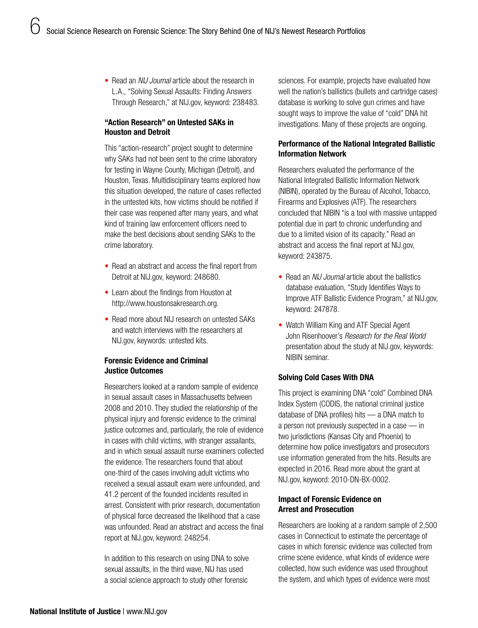• Read an *NIJ Journal* article about the research in L.A., "Solving Sexual Assaults: Finding Answers Through Research," at [NIJ.gov, keyword: 238483.](http://nij.gov/journals/270/Pages/answers-through-research.aspx)

# "Action Research" on Untested SAKs in Houston and Detroit

This "action-research" project sought to determine why SAKs had not been sent to the crime laboratory for testing in Wayne County, Michigan (Detroit), and Houston, Texas. Multidisciplinary teams explored how this situation developed, the nature of cases reflected in the untested kits, how victims should be notified if their case was reopened after many years, and what kind of training law enforcement officers need to make the best decisions about sending SAKs to the crime laboratory.

- Read an abstract and access the final report from Detroit at [NIJ.gov, keyword: 248680](http://nij.gov/publications/pages/publication-detail.aspx?ncjnumber=248680).
- Learn about the findings from Houston at <http://www.houstonsakresearch.org>.
- Read more about NIJ research on untested SAKs and watch interviews with the researchers at [NIJ.gov, keywords: untested kits](http://www.nij.gov/topics/law-enforcement/investigations/sexual-assault/Pages/untested-sexual-assault.aspx).

# Forensic Evidence and Criminal Justice Outcomes

Researchers looked at a random sample of evidence in sexual assault cases in Massachusetts between 2008 and 2010. They studied the relationship of the physical injury and forensic evidence to the criminal justice outcomes and, particularly, the role of evidence in cases with child victims, with stranger assailants, and in which sexual assault nurse examiners collected the evidence. The researchers found that about one-third of the cases involving adult victims who received a sexual assault exam were unfounded, and 41.2 percent of the founded incidents resulted in arrest. Consistent with prior research, documentation of physical force decreased the likelihood that a case was unfounded. Read an abstract and access the final report at [NIJ.gov, keyword: 248254](http://nij.gov/publications/Pages/publication-detail.aspx?ncjnumber=248254).

In addition to this research on using DNA to solve sexual assaults, in the third wave, NIJ has used a social science approach to study other forensic

sciences. For example, projects have evaluated how well the nation's ballistics (bullets and cartridge cases) database is working to solve gun crimes and have sought ways to improve the value of "cold" DNA hit investigations. Many of these projects are ongoing.

# Performance of the National Integrated Ballistic Information Network

Researchers evaluated the performance of the National Integrated Ballistic Information Network (NIBIN), operated by the Bureau of Alcohol, Tobacco, Firearms and Explosives (ATF). The researchers concluded that NIBIN "is a tool with massive untapped potential due in part to chronic underfunding and due to a limited vision of its capacity." Read an abstract and access the final report at [NIJ.gov,](http://nij.gov/publications/Pages/publication-detail.aspx?ncjnumber=243875)  [keyword: 243875](http://nij.gov/publications/Pages/publication-detail.aspx?ncjnumber=243875).

- Read an *NIJ Journal* article about the ballistics database evaluation, "Study Identifies Ways to Improve ATF Ballistic Evidence Program," at [NIJ.gov,](http://www.nij.gov/journals/274/Pages/ways-to-improve-nibin.aspx) [keyword: 247878.](http://www.nij.gov/journals/274/Pages/ways-to-improve-nibin.aspx)
- Watch William King and ATF Special Agent John Risenhoover's *Research for the Real World*  presentation about the study at [NIJ.gov, keywords:](http://www.nij.gov/multimedia/presenter/presenter-king-risenhoover/Pages/welcome.aspx)  [NIBIN seminar](http://www.nij.gov/multimedia/presenter/presenter-king-risenhoover/Pages/welcome.aspx).

# Solving Cold Cases With DNA

This project is examining DNA "cold" Combined DNA Index System (CODIS, the national criminal justice database of DNA profiles) hits — a DNA match to a person not previously suspected in a case — in two jurisdictions (Kansas City and Phoenix) to determine how police investigators and prosecutors use information generated from the hits. Results are expected in 2016. Read more about the grant at [NIJ.gov, keyword: 2010-DN-BX-0002](http://nij.gov/funding/awards/Pages/award-detail.aspx?award=2010-DN-BX-0002).

## Impact of Forensic Evidence on Arrest and Prosecution

Researchers are looking at a random sample of 2,500 cases in Connecticut to estimate the percentage of cases in which forensic evidence was collected from crime scene evidence, what kinds of evidence were collected, how such evidence was used throughout the system, and which types of evidence were most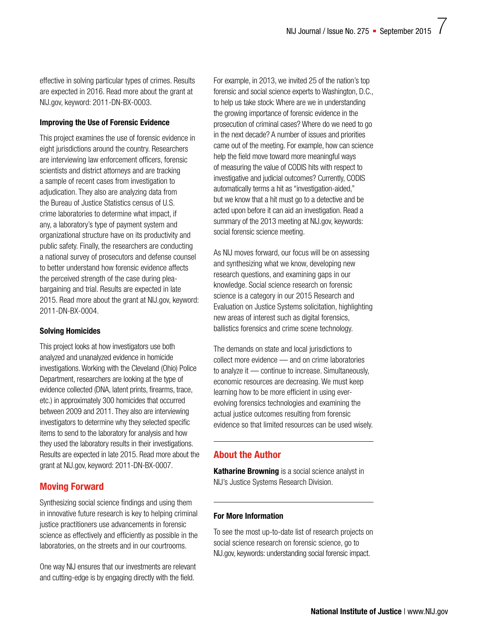effective in solving particular types of crimes. Results are expected in 2016. Read more about the grant at [NIJ.gov, keyword: 2011-DN-BX-0003.](http://nij.gov/funding/awards/Pages/award-detail.aspx?award=2011-DN-BX-0003)

## Improving the Use of Forensic Evidence

This project examines the use of forensic evidence in eight jurisdictions around the country. Researchers are interviewing law enforcement officers, forensic scientists and district attorneys and are tracking a sample of recent cases from investigation to adjudication. They also are analyzing data from the Bureau of Justice Statistics census of U.S. crime laboratories to determine what impact, if any, a laboratory's type of payment system and organizational structure have on its productivity and public safety. Finally, the researchers are conducting a national survey of prosecutors and defense counsel to better understand how forensic evidence affects the perceived strength of the case during pleabargaining and trial. Results are expected in late 2015. Read more about the grant at [NIJ.gov, keyword:](http://nij.gov/funding/awards/Pages/award-detail.aspx?award=2011-DN-BX-0004)  [2011-DN-BX-0004.](http://nij.gov/funding/awards/Pages/award-detail.aspx?award=2011-DN-BX-0004)

# Solving Homicides

This project looks at how investigators use both analyzed and unanalyzed evidence in homicide investigations. Working with the Cleveland (Ohio) Police Department, researchers are looking at the type of evidence collected (DNA, latent prints, firearms, trace, etc.) in approximately 300 homicides that occurred between 2009 and 2011. They also are interviewing investigators to determine why they selected specific items to send to the laboratory for analysis and how they used the laboratory results in their investigations. Results are expected in late 2015. Read more about the grant at [NIJ.gov, keyword: 2011-DN-BX-0007](http://nij.gov/funding/awards/Pages/award-detail.aspx?award=2011-DN-BX-0007).

# Moving Forward

Synthesizing social science findings and using them in innovative future research is key to helping criminal justice practitioners use advancements in forensic science as effectively and efficiently as possible in the laboratories, on the streets and in our courtrooms.

One way NIJ ensures that our investments are relevant and cutting-edge is by engaging directly with the field.

For example, in 2013, we invited 25 of the nation's top forensic and social science experts to Washington, D.C., to help us take stock: Where are we in understanding the growing importance of forensic evidence in the prosecution of criminal cases? Where do we need to go in the next decade? A number of issues and priorities came out of the meeting. For example, how can science help the field move toward more meaningful ways of measuring the value of CODIS hits with respect to investigative and judicial outcomes? Currently, CODIS automatically terms a hit as "investigation-aided," but we know that a hit must go to a detective and be acted upon before it can aid an investigation. Read a summary of the 2013 meeting at [NIJ.gov, keywords:](https://www.ncjrs.gov/pdffiles1/nij/244261.pdf)  [social forensic science meeting](https://www.ncjrs.gov/pdffiles1/nij/244261.pdf).

As NIJ moves forward, our focus will be on assessing and synthesizing what we know, developing new research questions, and examining gaps in our knowledge. Social science research on forensic science is a category in our 2015 Research and Evaluation on Justice Systems solicitation, highlighting new areas of interest such as digital forensics, ballistics forensics and crime scene technology.

The demands on state and local jurisdictions to collect more evidence — and on crime laboratories to analyze it — continue to increase. Simultaneously, economic resources are decreasing. We must keep learning how to be more efficient in using everevolving forensics technologies and examining the actual justice outcomes resulting from forensic evidence so that limited resources can be used wisely.

# About the Author

Katharine Browning is a social science analyst in NIJ's Justice Systems Research Division.

# For More Information

To see the most up-to-date list of research projects on social science research on forensic science, go to [NIJ.gov, keywords: understanding social forensic impact.](http://www.nij.gov/topics/forensics/Pages/social-science.aspx?tags=Social%20Science%20and%20Forensics)